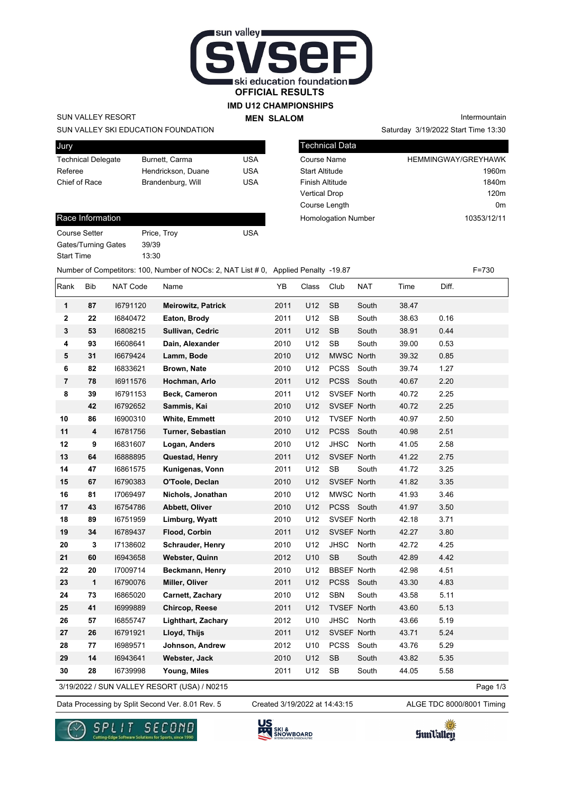

### **IMD U12 CHAMPIONSHIPS**

**MEN SLALOM** 

SUN VALLEY RESORT

Jury

SUN VALLEY SKI EDUCATION FOUNDATION

| vury                      |                    |     |
|---------------------------|--------------------|-----|
| <b>Technical Delegate</b> | Burnett, Carma     | USA |
| Referee                   | Hendrickson, Duane | USA |
| Chief of Race             | Brandenburg, Will  | USA |
|                           |                    |     |

#### Race Information

| <b>Course Setter</b> | Price, Troy | USA |
|----------------------|-------------|-----|
| Gates/Turning Gates  | 39/39       |     |
| <b>Start Time</b>    | 13:30       |     |

Saturday 3/19/2022 Start Time 13:30 Intermountain

| <b>Technical Data</b>      |                            |
|----------------------------|----------------------------|
| Course Name                | <b>HEMMINGWAY/GREYHAWK</b> |
| <b>Start Altitude</b>      | 1960 <sub>m</sub>          |
| <b>Finish Altitude</b>     | 1840 <sub>m</sub>          |
| <b>Vertical Drop</b>       | 120m                       |
| Course Length              | 0 <sub>m</sub>             |
| <b>Homologation Number</b> | 10353/12/11                |

Number of Competitors: 100, Number of NOCs: 2, NAT List # 0, Applied Penalty -19.87 F=730

| Rank           | Bib | NAT Code | Name                                        | YB   | Class | Club               | <b>NAT</b> | Time  | Diff. |          |
|----------------|-----|----------|---------------------------------------------|------|-------|--------------------|------------|-------|-------|----------|
| 1              | 87  | 16791120 | <b>Meirowitz, Patrick</b>                   | 2011 | U12   | <b>SB</b>          | South      | 38.47 |       |          |
| 2              | 22  | 16840472 | Eaton, Brody                                | 2011 | U12   | <b>SB</b>          | South      | 38.63 | 0.16  |          |
| 3              | 53  | 16808215 | Sullivan, Cedric                            | 2011 | U12   | <b>SB</b>          | South      | 38.91 | 0.44  |          |
| 4              | 93  | 16608641 | Dain, Alexander                             | 2010 | U12   | <b>SB</b>          | South      | 39.00 | 0.53  |          |
| 5              | 31  | 16679424 | Lamm, Bode                                  | 2010 | U12   | MWSC North         |            | 39.32 | 0.85  |          |
| 6              | 82  | 16833621 | Brown, Nate                                 | 2010 | U12   | PCSS South         |            | 39.74 | 1.27  |          |
| $\overline{7}$ | 78  | 16911576 | Hochman, Arlo                               | 2011 | U12   | PCSS South         |            | 40.67 | 2.20  |          |
| 8              | 39  | 16791153 | Beck, Cameron                               | 2011 | U12   | SVSEF North        |            | 40.72 | 2.25  |          |
|                | 42  | 16792652 | Sammis, Kai                                 | 2010 | U12   | SVSEF North        |            | 40.72 | 2.25  |          |
| 10             | 86  | 16900310 | <b>White, Emmett</b>                        | 2010 | U12   | <b>TVSEF North</b> |            | 40.97 | 2.50  |          |
| 11             | 4   | 16781756 | Turner, Sebastian                           | 2010 | U12   | PCSS South         |            | 40.98 | 2.51  |          |
| 12             | 9   | 16831607 | Logan, Anders                               | 2010 | U12   | <b>JHSC</b>        | North      | 41.05 | 2.58  |          |
| 13             | 64  | 16888895 | Questad, Henry                              | 2011 | U12   | SVSEF North        |            | 41.22 | 2.75  |          |
| 14             | 47  | 16861575 | Kunigenas, Vonn                             | 2011 | U12   | <b>SB</b>          | South      | 41.72 | 3.25  |          |
| 15             | 67  | 16790383 | O'Toole, Declan                             | 2010 | U12   | SVSEF North        |            | 41.82 | 3.35  |          |
| 16             | 81  | 17069497 | Nichols, Jonathan                           | 2010 | U12   | MWSC North         |            | 41.93 | 3.46  |          |
| 17             | 43  | 16754786 | Abbett, Oliver                              | 2010 | U12   | PCSS South         |            | 41.97 | 3.50  |          |
| 18             | 89  | 16751959 | Limburg, Wyatt                              | 2010 | U12   | SVSEF North        |            | 42.18 | 3.71  |          |
| 19             | 34  | 16789437 | <b>Flood, Corbin</b>                        | 2011 | U12   | SVSEF North        |            | 42.27 | 3.80  |          |
| 20             | 3   | 17138602 | Schrauder, Henry                            | 2010 | U12   | <b>JHSC</b>        | North      | 42.72 | 4.25  |          |
| 21             | 60  | 16943658 | <b>Webster, Quinn</b>                       | 2012 | U10   | <b>SB</b>          | South      | 42.89 | 4.42  |          |
| 22             | 20  | 17009714 | Beckmann, Henry                             | 2010 | U12   | <b>BBSEF North</b> |            | 42.98 | 4.51  |          |
| 23             | 1   | 16790076 | Miller, Oliver                              | 2011 | U12   | <b>PCSS</b>        | South      | 43.30 | 4.83  |          |
| 24             | 73  | 16865020 | Carnett, Zachary                            | 2010 | U12   | <b>SBN</b>         | South      | 43.58 | 5.11  |          |
| 25             | 41  | 16999889 | Chircop, Reese                              | 2011 | U12   | <b>TVSEF North</b> |            | 43.60 | 5.13  |          |
| 26             | 57  | 16855747 | Lighthart, Zachary                          | 2012 | U10   | <b>JHSC</b>        | North      | 43.66 | 5.19  |          |
| 27             | 26  | 16791921 | Lloyd, Thijs                                | 2011 | U12   | SVSEF North        |            | 43.71 | 5.24  |          |
| 28             | 77  | 16989571 | Johnson, Andrew                             | 2012 | U10   | <b>PCSS</b>        | South      | 43.76 | 5.29  |          |
| 29             | 14  | 16943641 | Webster, Jack                               | 2010 | U12   | ${\sf SB}$         | South      | 43.82 | 5.35  |          |
| 30             | 28  | 16739998 | Young, Miles                                | 2011 | U12   | SB                 | South      | 44.05 | 5.58  |          |
|                |     |          | 3/19/2022 / SUN VALLEY RESORT (USA) / N0215 |      |       |                    |            |       |       | Page 1/3 |

3/19/2022 / SUN VALLEY RESORT (USA) / N0215

Data Processing by Split Second Ver. 8.01 Rev. 5 Created 3/19/2022 at 14:43:15 ALGE TDC 8000/8001 Timing

Created 3/19/2022 at 14:43:15





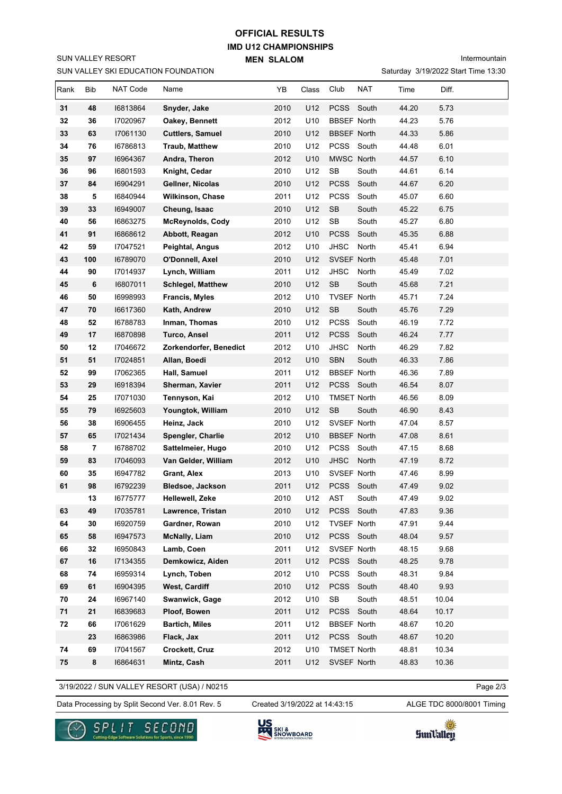# **IMD U12 CHAMPIONSHIPS MEN SLALOM OFFICIAL RESULTS**

Intermountain

|      |                |                 | SUN VALLEY SKI EDUCATION FOUNDATION |      |       |                      |            | Saturday 3/19/2022 Start Time 13:30 |       |  |
|------|----------------|-----------------|-------------------------------------|------|-------|----------------------|------------|-------------------------------------|-------|--|
| Rank | Bib            | <b>NAT Code</b> | Name                                | YΒ   | Class | Club                 | <b>NAT</b> | Time                                | Diff. |  |
| 31   | 48             | 16813864        | Snyder, Jake                        | 2010 | U12   | PCSS South           |            | 44.20                               | 5.73  |  |
| 32   | 36             | 17020967        | Oakey, Bennett                      | 2012 | U10   | <b>BBSEF North</b>   |            | 44.23                               | 5.76  |  |
| 33   | 63             | 17061130        | <b>Cuttlers, Samuel</b>             | 2010 | U12   | <b>BBSEF North</b>   |            | 44.33                               | 5.86  |  |
| 34   | 76             | 16786813        | <b>Traub, Matthew</b>               | 2010 | U12   | PCSS South           |            | 44.48                               | 6.01  |  |
| 35   | 97             | 16964367        | Andra, Theron                       | 2012 | U10   | MWSC North           |            | 44.57                               | 6.10  |  |
| 36   | 96             | 16801593        | Knight, Cedar                       | 2010 | U12   | SB                   | South      | 44.61                               | 6.14  |  |
| 37   | 84             | 16904291        | Gellner, Nicolas                    | 2010 | U12   | <b>PCSS</b>          | South      | 44.67                               | 6.20  |  |
| 38   | 5              | 16840944        | <b>Wilkinson, Chase</b>             | 2011 | U12   | <b>PCSS</b>          | South      | 45.07                               | 6.60  |  |
| 39   | 33             | 16949007        | Cheung, Isaac                       | 2010 | U12   | SB                   | South      | 45.22                               | 6.75  |  |
| 40   | 56             | 16863275        | <b>McReynolds, Cody</b>             | 2010 | U12   | SB                   | South      | 45.27                               | 6.80  |  |
| 41   | 91             | 16868612        | Abbott, Reagan                      | 2012 | U10   | <b>PCSS</b>          | South      | 45.35                               | 6.88  |  |
| 42   | 59             | 17047521        | Peightal, Angus                     | 2012 | U10   | <b>JHSC</b>          | North      | 45.41                               | 6.94  |  |
| 43   | 100            | 16789070        | O'Donnell, Axel                     | 2010 | U12   | SVSEF North          |            | 45.48                               | 7.01  |  |
| 44   | 90             | 17014937        | Lynch, William                      | 2011 | U12   | <b>JHSC</b>          | North      | 45.49                               | 7.02  |  |
| 45   | 6              | 16807011        | <b>Schlegel, Matthew</b>            | 2010 | U12   | SB                   | South      | 45.68                               | 7.21  |  |
| 46   | 50             | 16998993        | <b>Francis, Myles</b>               | 2012 | U10   | TVSEF North          |            | 45.71                               | 7.24  |  |
| 47   | 70             | 16617360        | Kath, Andrew                        | 2010 | U12   | SB                   | South      | 45.76                               | 7.29  |  |
| 48   | 52             | 16788783        | Inman, Thomas                       | 2010 | U12   | PCSS                 | South      | 46.19                               | 7.72  |  |
| 49   | 17             | 16870898        | <b>Turco, Ansel</b>                 | 2011 | U12   | <b>PCSS</b>          | South      | 46.24                               | 7.77  |  |
| 50   | 12             | 17046672        | Zorkendorfer, Benedict              | 2012 | U10   | <b>JHSC</b>          | North      | 46.29                               | 7.82  |  |
| 51   | 51             | 17024851        | Allan, Boedi                        | 2012 | U10   | <b>SBN</b>           | South      | 46.33                               | 7.86  |  |
| 52   | 99             | 17062365        | Hall, Samuel                        | 2011 | U12   | <b>BBSEF North</b>   |            | 46.36                               | 7.89  |  |
| 53   | 29             | 16918394        | Sherman, Xavier                     | 2011 | U12   | PCSS South           |            | 46.54                               | 8.07  |  |
| 54   | 25             | 17071030        | Tennyson, Kai                       | 2012 | U10   | <b>TMSET North</b>   |            | 46.56                               | 8.09  |  |
| 55   | 79             | 16925603        | Youngtok, William                   | 2010 | U12   | <b>SB</b>            | South      | 46.90                               | 8.43  |  |
| 56   | 38             | 16906455        | Heinz, Jack                         | 2010 | U12   | SVSEF North          |            | 47.04                               | 8.57  |  |
| 57   | 65             | 17021434        | Spengler, Charlie                   | 2012 | U10   | <b>BBSEF North</b>   |            | 47.08                               | 8.61  |  |
| 58   | $\overline{7}$ | 16788702        | Sattelmeier, Hugo                   | 2010 | U12   | PCSS South           |            | 47.15                               | 8.68  |  |
| 59   | 83             | 17046093        | Van Gelder, William                 | 2012 | U10   | <b>JHSC</b>          | North      | 47.19                               | 8.72  |  |
| 60   | 35             | 16947782        | Grant, Alex                         | 2013 | U10   | SVSEF North          |            | 47.46                               | 8.99  |  |
| 61   | 98             | 16792239        | <b>Bledsoe, Jackson</b>             | 2011 | U12   | PCSS South           |            | 47.49                               | 9.02  |  |
|      | 13             | 16775777        | Hellewell, Zeke                     | 2010 | U12   | AST                  | South      | 47.49                               | 9.02  |  |
| 63   | 49             | 17035781        | Lawrence, Tristan                   | 2010 | U12   | <b>PCSS</b>          | South      | 47.83                               | 9.36  |  |
| 64   | 30             | 16920759        | Gardner, Rowan                      | 2010 | U12   | <b>TVSEF North</b>   |            | 47.91                               | 9.44  |  |
| 65   | 58             | 16947573        | <b>McNally, Liam</b>                | 2010 | U12   | PCSS South           |            | 48.04                               | 9.57  |  |
| 66   | 32             | 16950843        | Lamb, Coen                          | 2011 | U12   | SVSEF North          |            | 48.15                               | 9.68  |  |
| 67   | $16$           | 17134355        | Demkowicz, Aiden                    | 2011 | U12   | PCSS South           |            | 48.25                               | 9.78  |  |
| 68   | 74             | 16959314        | Lynch, Toben                        | 2012 | U10   | PCSS                 | South      | 48.31                               | 9.84  |  |
| 69   | 61             | 16904395        | <b>West, Cardiff</b>                | 2010 | U12   | <b>PCSS</b>          | South      | 48.40                               | 9.93  |  |
| 70   | 24             | 16967140        | Swanwick, Gage                      | 2012 | U10   | $\mathsf{SB}\xspace$ | South      | 48.51                               | 10.04 |  |
| 71   | 21             | 16839683        | Ploof, Bowen                        | 2011 | U12   | PCSS                 | South      | 48.64                               | 10.17 |  |
| 72   | 66             | 17061629        | <b>Bartich, Miles</b>               | 2011 | U12   | <b>BBSEF North</b>   |            | 48.67                               | 10.20 |  |
|      | 23             | 16863986        | Flack, Jax                          | 2011 | U12   | PCSS South           |            | 48.67                               | 10.20 |  |
| 74   | 69             | 17041567        | Crockett, Cruz                      | 2012 | U10   | <b>TMSET North</b>   |            | 48.81                               | 10.34 |  |
| 75   | $\bf8$         | 16864631        | Mintz, Cash                         | 2011 | U12   | SVSEF North          |            | 48.83                               | 10.36 |  |

3/19/2022 / SUN VALLEY RESORT (USA) / N0215

Page 2/3

Data Processing by Split Second Ver. 8.01 Rev. 5 Created 3/19/2022 at 14:43:15 ALGE TDC 8000/8001 Timing

Created 3/19/2022 at 14:43:15



SUN VALLEY RESORT